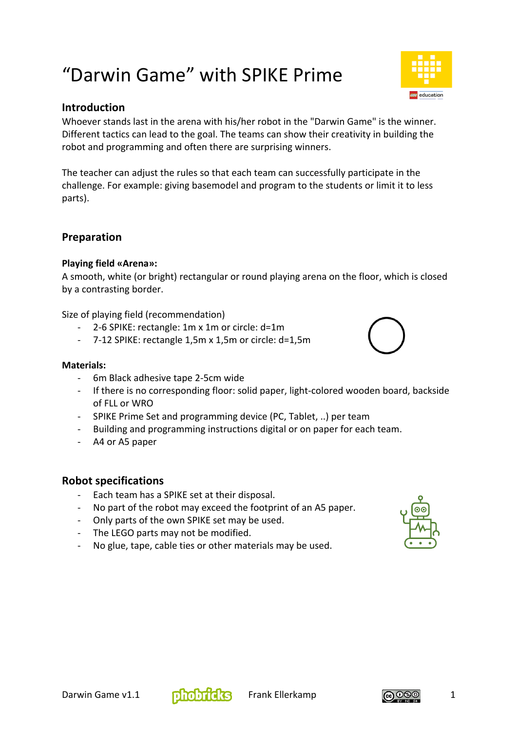# "Darwin Game" with SPIKE Prime



Whoever stands last in the arena with his/her robot in the "Darwin Game" is the winner. Different tactics can lead to the goal. The teams can show their creativity in building the robot and programming and often there are surprising winners.

The teacher can adjust the rules so that each team can successfully participate in the challenge. For example: giving basemodel and program to the students or limit it to less parts).

# **Preparation**

#### **Playing field «Arena»:**

A smooth, white (or bright) rectangular or round playing arena on the floor, which is closed by a contrasting border.

Size of playing field (recommendation)

- 2-6 SPIKE: rectangle: 1m x 1m or circle: d=1m
- 7-12 SPIKE: rectangle 1,5m x 1,5m or circle: d=1,5m

#### **Materials:**

- 6m Black adhesive tape 2-5cm wide
- If there is no corresponding floor: solid paper, light-colored wooden board, backside of FLL or WRO
- SPIKE Prime Set and programming device (PC, Tablet, ..) per team
- Building and programming instructions digital or on paper for each team.
- A4 or A5 paper

#### **Robot specifications**

- Each team has a SPIKE set at their disposal.
- No part of the robot may exceed the footprint of an A5 paper.
- Only parts of the own SPIKE set may be used.
- The LEGO parts may not be modified.
- No glue, tape, cable ties or other materials may be used.









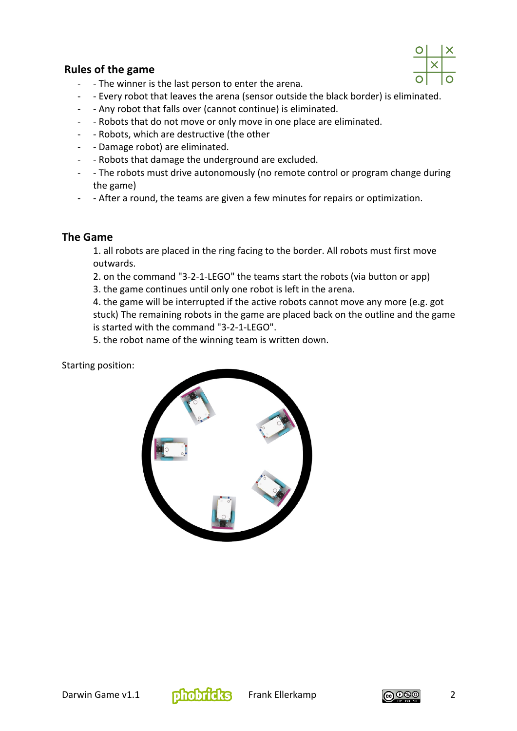

# **Rules of the game**

- - The winner is the last person to enter the arena.
- - Every robot that leaves the arena (sensor outside the black border) is eliminated.
- - Any robot that falls over (cannot continue) is eliminated.
- - Robots that do not move or only move in one place are eliminated.
- - Robots, which are destructive (the other
- - Damage robot) are eliminated.
- - Robots that damage the underground are excluded.
- - The robots must drive autonomously (no remote control or program change during the game)
- - After a round, the teams are given a few minutes for repairs or optimization.

# **The Game**

1. all robots are placed in the ring facing to the border. All robots must first move outwards.

2. on the command "3-2-1-LEGO" the teams start the robots (via button or app)

3. the game continues until only one robot is left in the arena.

4. the game will be interrupted if the active robots cannot move any more (e.g. got stuck) The remaining robots in the game are placed back on the outline and the game is started with the command "3-2-1-LEGO".

5. the robot name of the winning team is written down.

Starting position:





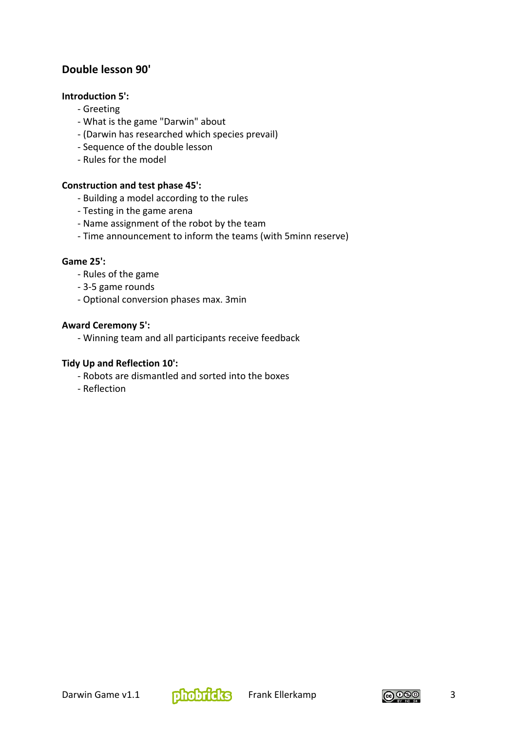# **Double lesson 90'**

#### **Introduction 5':**

- Greeting
- What is the game "Darwin" about
- (Darwin has researched which species prevail)
- Sequence of the double lesson
- Rules for the model

#### **Construction and test phase 45':**

- Building a model according to the rules
- Testing in the game arena
- Name assignment of the robot by the team
- Time announcement to inform the teams (with 5minn reserve)

#### **Game 25':**

- Rules of the game
- 3-5 game rounds
- Optional conversion phases max. 3min

#### **Award Ceremony 5':**

- Winning team and all participants receive feedback

#### **Tidy Up and Reflection 10':**

- Robots are dismantled and sorted into the boxes
- Reflection



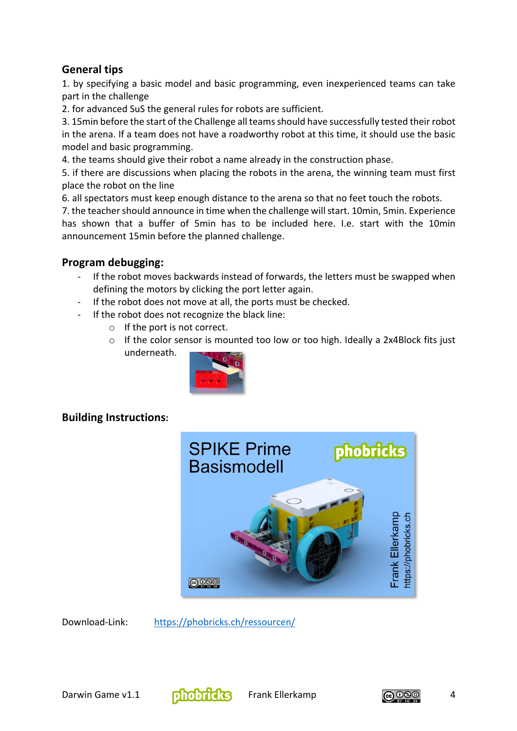# **General tips**

1. by specifying a basic model and basic programming, even inexperienced teams can take part in the challenge

2. for advanced SuS the general rules for robots are sufficient.

3. 15min before the start of the Challenge all teams should have successfully tested their robot in the arena. If a team does not have a roadworthy robot at this time, it should use the basic model and basic programming.

4. the teams should give their robot a name already in the construction phase.

5. if there are discussions when placing the robots in the arena, the winning team must first place the robot on the line

6. all spectators must keep enough distance to the arena so that no feet touch the robots.

7. the teacher should announce in time when the challenge will start. 10min, 5min. Experience has shown that a buffer of 5min has to be included here. I.e. start with the 10min announcement 15min before the planned challenge.

### **Program debugging:**

- If the robot moves backwards instead of forwards, the letters must be swapped when defining the motors by clicking the port letter again.
- If the robot does not move at all, the ports must be checked.
- If the robot does not recognize the black line:
	- o If the port is not correct.
	- o If the color sensor is mounted too low or too high. Ideally a 2x4Block fits just underneath.



# **Building Instructions:**



Download-Link: https://phobricks.ch/ressourcen/



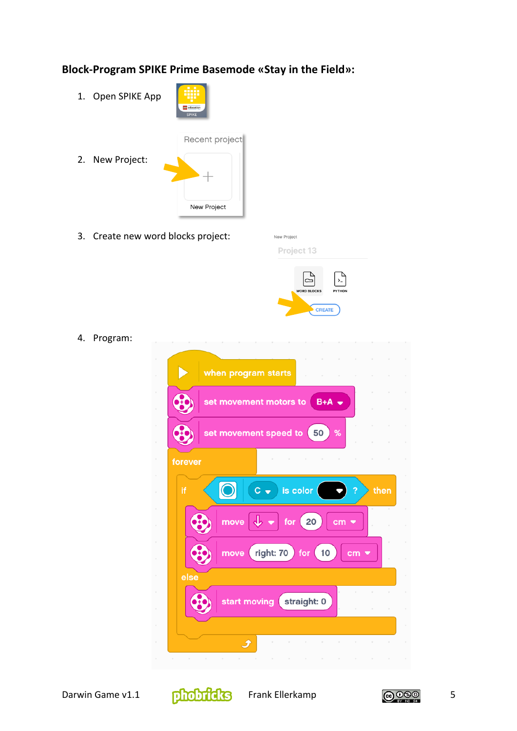# **Block-Program SPIKE Prime Basemode «Stay in the Field»:**

1. Open SPIKE App



2. New Project:



3. Create new word blocks project:

| Project 13 |  |  |  |  |
|------------|--|--|--|--|
|            |  |  |  |  |

New Project



4. Program: